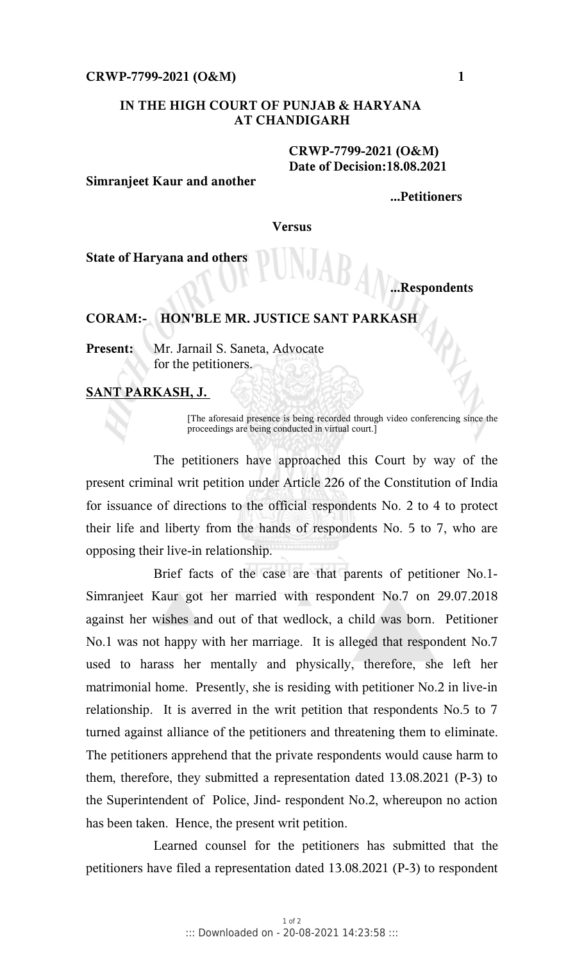## **CRWP-7799-2021 (O&M) 1**

# **IN THE HIGH COURT OF PUNJAB & HARYANA AT CHANDIGARH**

## **CRWP-7799-2021 (O&M) Date of Decision:18.08.2021**

#### **Simranjeet Kaur and another**

**...Petitioners**

**Versus**

**State of Haryana and others**

# **...Respondents**

# **CORAM:- HON'BLE MR. JUSTICE SANT PARKASH**

**Present:** Mr. Jarnail S. Saneta, Advocate for the petitioners.

# **SANT PARKASH, J.**

[The aforesaid presence is being recorded through video conferencing since the proceedings are being conducted in virtual court.]

The petitioners have approached this Court by way of the present criminal writ petition under Article 226 of the Constitution of India for issuance of directions to the official respondents No. 2 to 4 to protect their life and liberty from the hands of respondents No. 5 to 7, who are opposing their live-in relationship.

Brief facts of the case are that parents of petitioner No.1- Simranjeet Kaur got her married with respondent No.7 on 29.07.2018 against her wishes and out of that wedlock, a child was born. Petitioner No.1 was not happy with her marriage. It is alleged that respondent No.7 used to harass her mentally and physically, therefore, she left her matrimonial home. Presently, she is residing with petitioner No.2 in live-in relationship. It is averred in the writ petition that respondents No.5 to 7 turned against alliance of the petitioners and threatening them to eliminate. The petitioners apprehend that the private respondents would cause harm to them, therefore, they submitted a representation dated 13.08.2021 (P-3) to the Superintendent of Police, Jind- respondent No.2, whereupon no action has been taken. Hence, the present writ petition.

Learned counsel for the petitioners has submitted that the petitioners have filed a representation dated 13.08.2021 (P-3) to respondent